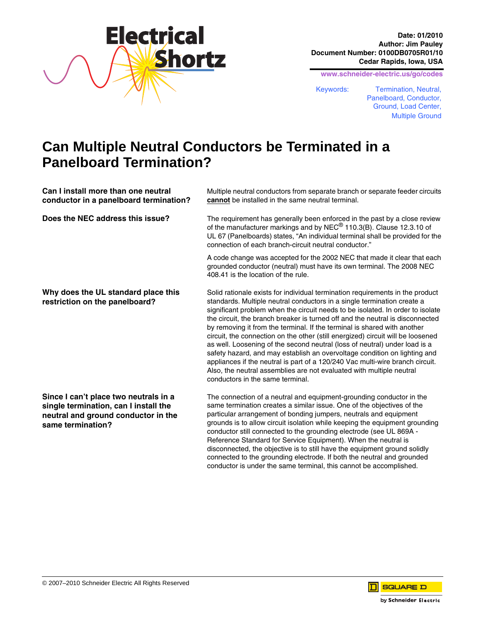

**Date: 01/2010 Author: Jim Pauley Document Number: 0100DB0705R01/10 Cedar Rapids, Iowa, USA**

**www.schneider-electric.us/go/codes**

disconnected, the objective is to still have the equipment ground solidly connected to the grounding electrode. If both the neutral and grounded conductor is under the same terminal, this cannot be accomplished.

Keywords: Termination, Neutral, Panelboard, Conductor, Ground, Load Center, Multiple Ground

## **Can Multiple Neutral Conductors be Terminated in a Panelboard Termination?**

| Can I install more than one neutral<br>conductor in a panelboard termination?                                                              | Multiple neutral conductors from separate branch or separate feeder circuits<br><b>cannot</b> be installed in the same neutral terminal.                                                                                                                                                                                                                                                                                                                                                                                                                                                                                                                                                                                                                                                                                                           |
|--------------------------------------------------------------------------------------------------------------------------------------------|----------------------------------------------------------------------------------------------------------------------------------------------------------------------------------------------------------------------------------------------------------------------------------------------------------------------------------------------------------------------------------------------------------------------------------------------------------------------------------------------------------------------------------------------------------------------------------------------------------------------------------------------------------------------------------------------------------------------------------------------------------------------------------------------------------------------------------------------------|
| Does the NEC address this issue?                                                                                                           | The requirement has generally been enforced in the past by a close review<br>of the manufacturer markings and by NEC <sup>®</sup> 110.3(B). Clause 12.3.10 of<br>UL 67 (Panelboards) states, "An individual terminal shall be provided for the<br>connection of each branch-circuit neutral conductor."                                                                                                                                                                                                                                                                                                                                                                                                                                                                                                                                            |
|                                                                                                                                            | A code change was accepted for the 2002 NEC that made it clear that each<br>grounded conductor (neutral) must have its own terminal. The 2008 NEC<br>408.41 is the location of the rule.                                                                                                                                                                                                                                                                                                                                                                                                                                                                                                                                                                                                                                                           |
| Why does the UL standard place this<br>restriction on the panelboard?                                                                      | Solid rationale exists for individual termination requirements in the product<br>standards. Multiple neutral conductors in a single termination create a<br>significant problem when the circuit needs to be isolated. In order to isolate<br>the circuit, the branch breaker is turned off and the neutral is disconnected<br>by removing it from the terminal. If the terminal is shared with another<br>circuit, the connection on the other (still energized) circuit will be loosened<br>as well. Loosening of the second neutral (loss of neutral) under load is a<br>safety hazard, and may establish an overvoltage condition on lighting and<br>appliances if the neutral is part of a 120/240 Vac multi-wire branch circuit.<br>Also, the neutral assemblies are not evaluated with multiple neutral<br>conductors in the same terminal. |
| Since I can't place two neutrals in a<br>single termination, can I install the<br>neutral and ground conductor in the<br>same termination? | The connection of a neutral and equipment-grounding conductor in the<br>same termination creates a similar issue. One of the objectives of the<br>particular arrangement of bonding jumpers, neutrals and equipment<br>grounds is to allow circuit isolation while keeping the equipment grounding<br>conductor still connected to the grounding electrode (see UL 869A -<br>Reference Standard for Service Equipment). When the neutral is                                                                                                                                                                                                                                                                                                                                                                                                        |